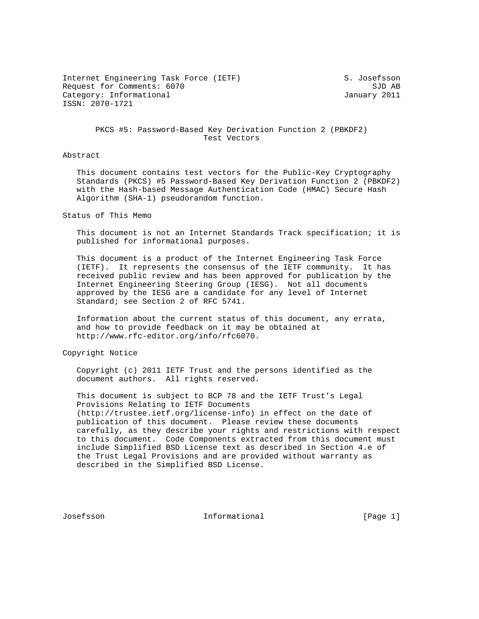Internet Engineering Task Force (IETF) S. Josefsson Request for Comments: 6070 SJD AB Category: Informational and Category: Informational ISSN: 2070-1721

 PKCS #5: Password-Based Key Derivation Function 2 (PBKDF2) Test Vectors

Abstract

 This document contains test vectors for the Public-Key Cryptography Standards (PKCS) #5 Password-Based Key Derivation Function 2 (PBKDF2) with the Hash-based Message Authentication Code (HMAC) Secure Hash Algorithm (SHA-1) pseudorandom function.

Status of This Memo

 This document is not an Internet Standards Track specification; it is published for informational purposes.

 This document is a product of the Internet Engineering Task Force (IETF). It represents the consensus of the IETF community. It has received public review and has been approved for publication by the Internet Engineering Steering Group (IESG). Not all documents approved by the IESG are a candidate for any level of Internet Standard; see Section 2 of RFC 5741.

 Information about the current status of this document, any errata, and how to provide feedback on it may be obtained at http://www.rfc-editor.org/info/rfc6070.

Copyright Notice

 Copyright (c) 2011 IETF Trust and the persons identified as the document authors. All rights reserved.

 This document is subject to BCP 78 and the IETF Trust's Legal Provisions Relating to IETF Documents (http://trustee.ietf.org/license-info) in effect on the date of publication of this document. Please review these documents carefully, as they describe your rights and restrictions with respect to this document. Code Components extracted from this document must include Simplified BSD License text as described in Section 4.e of the Trust Legal Provisions and are provided without warranty as described in the Simplified BSD License.

Josefsson Informational [Page 1]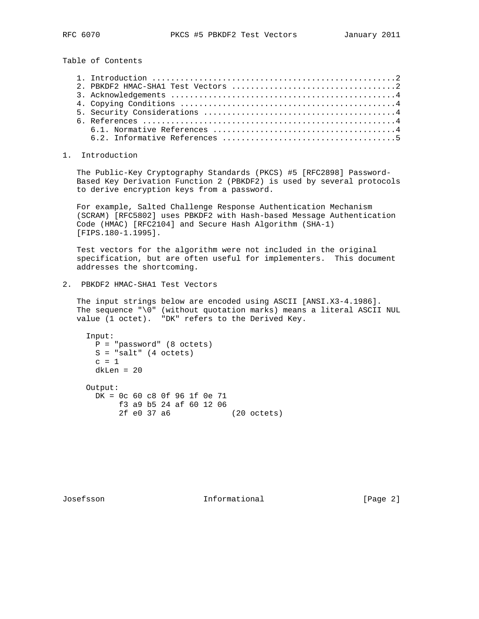Table of Contents

## 1. Introduction

 The Public-Key Cryptography Standards (PKCS) #5 [RFC2898] Password- Based Key Derivation Function 2 (PBKDF2) is used by several protocols to derive encryption keys from a password.

 For example, Salted Challenge Response Authentication Mechanism (SCRAM) [RFC5802] uses PBKDF2 with Hash-based Message Authentication Code (HMAC) [RFC2104] and Secure Hash Algorithm (SHA-1) [FIPS.180-1.1995].

 Test vectors for the algorithm were not included in the original specification, but are often useful for implementers. This document addresses the shortcoming.

2. PBKDF2 HMAC-SHA1 Test Vectors

 The input strings below are encoded using ASCII [ANSI.X3-4.1986]. The sequence "\0" (without quotation marks) means a literal ASCII NUL value (1 octet). "DK" refers to the Derived Key.

```
 Input:
 P = "password" (8 octets)
S = "salt" (4 octets)c = 1 dkLen = 20
Output:
 DK = 0c 60 c8 0f 96 1f 0e 71
      f3 a9 b5 24 af 60 12 06
      2f e0 37 a6 (20 octets)
```
Josefsson Informational [Page 2]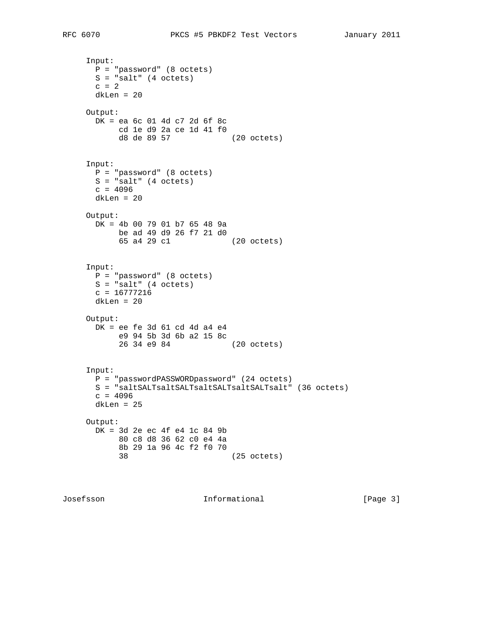```
 Input:
 P = "password" (8 octets)
S = "salt" (4 octets)c = 2 dkLen = 20
Output:
 DK = ea 6c 01 4d c7 2d 6f 8c
      cd 1e d9 2a ce 1d 41 f0
      d8 de 89 57 (20 octets)
Input:
 P = "password" (8 octets)
S = "salt" (4 octets)c = 4096 dkLen = 20
Output:
 DK = 4b 00 79 01 b7 65 48 9a
      be ad 49 d9 26 f7 21 d0
      65 a4 29 c1 (20 octets)
Input:
 P = "password" (8 octets)
S = "salt" (4 octets) c = 16777216
 dkLen = 20
Output:
 DK = ee fe 3d 61 cd 4d a4 e4
     e9 94 5b 3d 6b a2 15 8c
      26 34 e9 84 (20 octets)
Input:
 P = "passwordPASSWORDpassword" (24 octets)
S = "saltSALTsaltSALTsaltSALTsaltSALTsalt" (36 octets)
c = 4096 dkLen = 25
Output:
 DK = 3d 2e ec 4f e4 1c 84 9b
      80 c8 d8 36 62 c0 e4 4a
```
Josefsson Informational [Page 3]

8b 29 1a 96 4c f2 f0 70

38 (25 octets)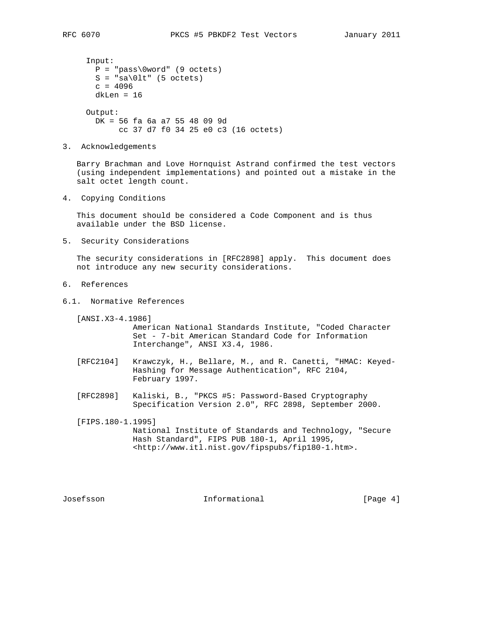```
 Input:
 P = "pass\overline{0}word" (9 octets)
 S = "sa\cdot 0lt" (5 octets)
 c = 4096dkLen = 16 Output:
  DK = 56 fa 6a a7 55 48 09 9d
       cc 37 d7 f0 34 25 e0 c3 (16 octets)
```
3. Acknowledgements

 Barry Brachman and Love Hornquist Astrand confirmed the test vectors (using independent implementations) and pointed out a mistake in the salt octet length count.

4. Copying Conditions

 This document should be considered a Code Component and is thus available under the BSD license.

5. Security Considerations

 The security considerations in [RFC2898] apply. This document does not introduce any new security considerations.

- 6. References
- 6.1. Normative References

[ANSI.X3-4.1986]

 American National Standards Institute, "Coded Character Set - 7-bit American Standard Code for Information Interchange", ANSI X3.4, 1986.

- [RFC2104] Krawczyk, H., Bellare, M., and R. Canetti, "HMAC: Keyed- Hashing for Message Authentication", RFC 2104, February 1997.
- [RFC2898] Kaliski, B., "PKCS #5: Password-Based Cryptography Specification Version 2.0", RFC 2898, September 2000.
- [FIPS.180-1.1995] National Institute of Standards and Technology, "Secure Hash Standard", FIPS PUB 180-1, April 1995, <http://www.itl.nist.gov/fipspubs/fip180-1.htm>.

Josefsson Informational [Page 4]